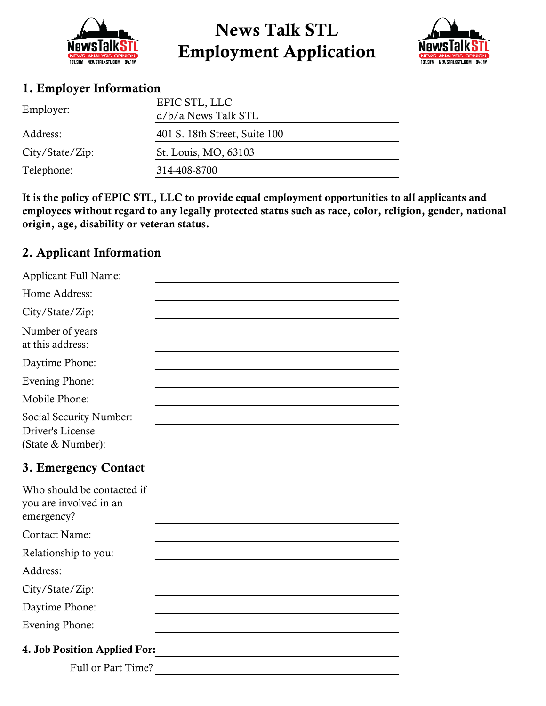

# News Talk STL Employment Application



### 1. Employer Information

| Employer:       | EPIC STL, LLC<br>d/b/a News Talk STL |  |  |
|-----------------|--------------------------------------|--|--|
| Address:        | 401 S. 18th Street, Suite 100        |  |  |
| City/State/Zip: | St. Louis, MO, 63103                 |  |  |
| Telephone:      | 314-408-8700                         |  |  |
|                 |                                      |  |  |

It is the policy of EPIC STL, LLC to provide equal employment opportunities to all applicants and employees without regard to any legally protected status such as race, color, religion, gender, national origin, age, disability or veteran status.

## 2. Applicant Information

| Applicant Full Name:                                               |
|--------------------------------------------------------------------|
| Home Address:                                                      |
| City/State/Zip:                                                    |
| Number of years<br>at this address:                                |
| Daytime Phone:                                                     |
| Evening Phone:                                                     |
| Mobile Phone:                                                      |
| Social Security Number:<br>Driver's License<br>(State & Number):   |
| 3. Emergency Contact                                               |
| Who should be contacted if<br>you are involved in an<br>emergency? |
|                                                                    |
| <b>Contact Name:</b>                                               |
| Relationship to you:                                               |
| Address:                                                           |
| City/State/Zip:                                                    |
| Daytime Phone:                                                     |
| <b>Evening Phone:</b>                                              |
| 4. Job Position Applied For:                                       |